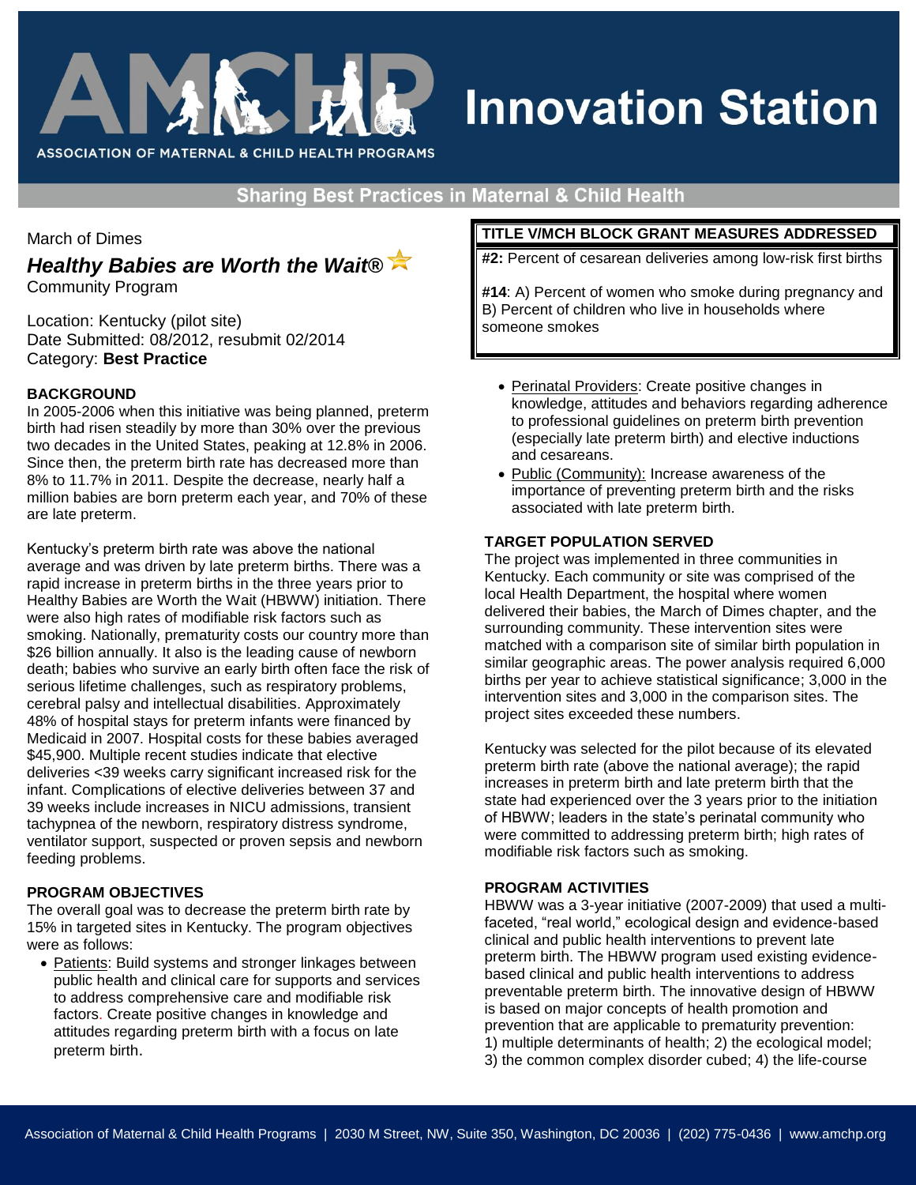

# **Innovation Station**

**Sharing Best Practices in Maternal & Child Health** 

March of Dimes

*Healthy Babies are Worth the Wait®*

Community Program

Location: Kentucky (pilot site) Date Submitted: 08/2012, resubmit 02/2014 Category: **Best Practice**

# **BACKGROUND**

In 2005-2006 when this initiative was being planned, preterm birth had risen steadily by more than 30% over the previous two decades in the United States, peaking at 12.8% in 2006. Since then, the preterm birth rate has decreased more than 8% to 11.7% in 2011. Despite the decrease, nearly half a million babies are born preterm each year, and 70% of these are late preterm.

Kentucky's preterm birth rate was above the national average and was driven by late preterm births. There was a rapid increase in preterm births in the three years prior to Healthy Babies are Worth the Wait (HBWW) initiation. There were also high rates of modifiable risk factors such as smoking. Nationally, prematurity costs our country more than \$26 billion annually. It also is the leading cause of newborn death; babies who survive an early birth often face the risk of serious lifetime challenges, such as respiratory problems, cerebral palsy and intellectual disabilities. Approximately 48% of hospital stays for preterm infants were financed by Medicaid in 2007. Hospital costs for these babies averaged \$45,900. Multiple recent studies indicate that elective deliveries <39 weeks carry significant increased risk for the infant. Complications of elective deliveries between 37 and 39 weeks include increases in NICU admissions, transient tachypnea of the newborn, respiratory distress syndrome, ventilator support, suspected or proven sepsis and newborn feeding problems.

## **PROGRAM OBJECTIVES**

The overall goal was to decrease the preterm birth rate by 15% in targeted sites in Kentucky. The program objectives were as follows:

 Patients: Build systems and stronger linkages between public health and clinical care for supports and services to address comprehensive care and modifiable risk factors. Create positive changes in knowledge and attitudes regarding preterm birth with a focus on late preterm birth.

## **TITLE V/MCH BLOCK GRANT MEASURES ADDRESSED**

**#2:** Percent of cesarean deliveries among low-risk first births

**#14**: A) Percent of women who smoke during pregnancy and B) Percent of children who live in households where someone smokes

- Perinatal Providers: Create positive changes in knowledge, attitudes and behaviors regarding adherence to professional guidelines on preterm birth prevention (especially late preterm birth) and elective inductions and cesareans.
- Public (Community): Increase awareness of the importance of preventing preterm birth and the risks associated with late preterm birth.

## **TARGET POPULATION SERVED**

The project was implemented in three communities in Kentucky. Each community or site was comprised of the local Health Department, the hospital where women delivered their babies, the March of Dimes chapter, and the surrounding community. These intervention sites were matched with a comparison site of similar birth population in similar geographic areas. The power analysis required 6,000 births per year to achieve statistical significance; 3,000 in the intervention sites and 3,000 in the comparison sites. The project sites exceeded these numbers.

Kentucky was selected for the pilot because of its elevated preterm birth rate (above the national average); the rapid increases in preterm birth and late preterm birth that the state had experienced over the 3 years prior to the initiation of HBWW; leaders in the state's perinatal community who were committed to addressing preterm birth; high rates of modifiable risk factors such as smoking.

## **PROGRAM ACTIVITIES**

HBWW was a 3-year initiative (2007-2009) that used a multifaceted, "real world," ecological design and evidence-based clinical and public health interventions to prevent late preterm birth. The HBWW program used existing evidencebased clinical and public health interventions to address preventable preterm birth. The innovative design of HBWW is based on major concepts of health promotion and prevention that are applicable to prematurity prevention: 1) multiple determinants of health; 2) the ecological model; 3) the common complex disorder cubed; 4) the life-course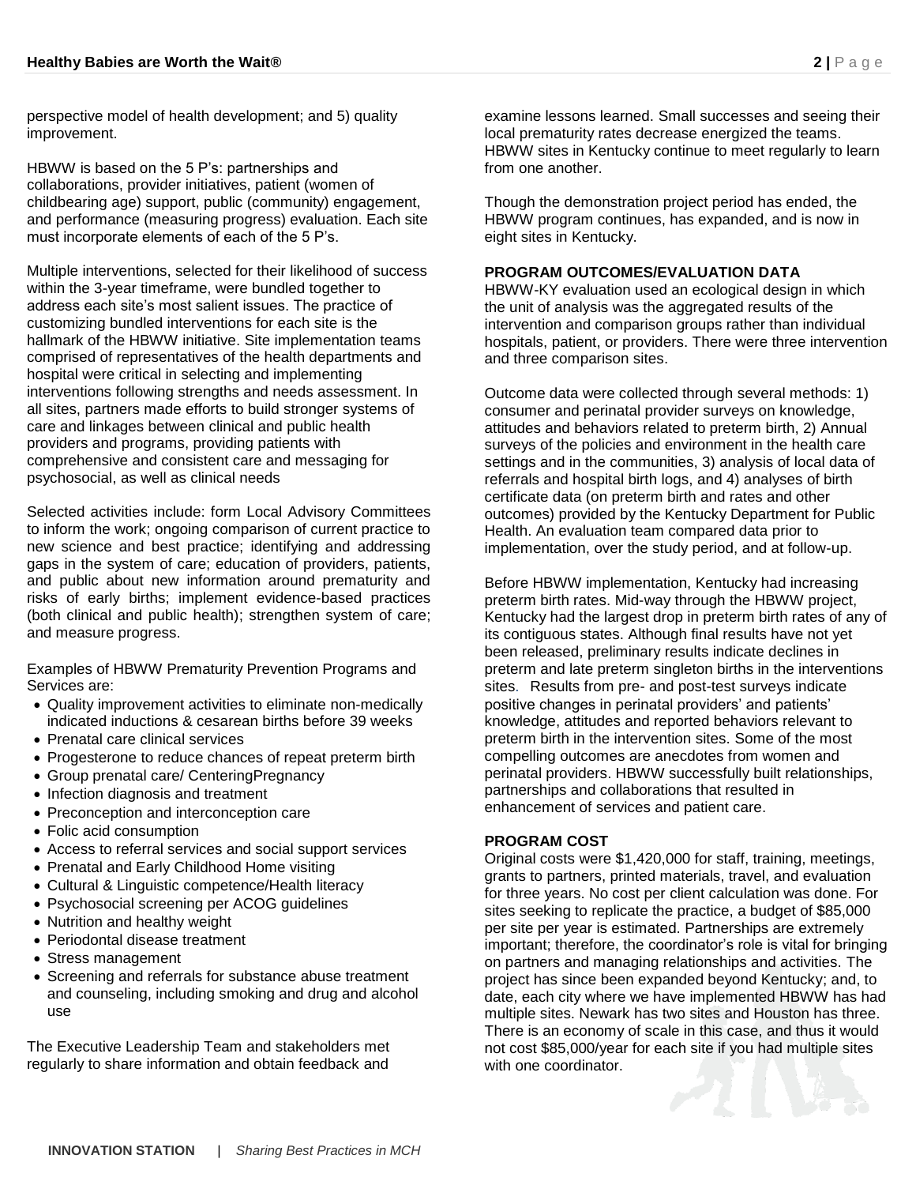perspective model of health development; and 5) quality improvement.

HBWW is based on the 5 P's: partnerships and collaborations, provider initiatives, patient (women of childbearing age) support, public (community) engagement, and performance (measuring progress) evaluation. Each site must incorporate elements of each of the 5 P's.

Multiple interventions, selected for their likelihood of success within the 3-year timeframe, were bundled together to address each site's most salient issues. The practice of customizing bundled interventions for each site is the hallmark of the HBWW initiative. Site implementation teams comprised of representatives of the health departments and hospital were critical in selecting and implementing interventions following strengths and needs assessment. In all sites, partners made efforts to build stronger systems of care and linkages between clinical and public health providers and programs, providing patients with comprehensive and consistent care and messaging for psychosocial, as well as clinical needs

Selected activities include: form Local Advisory Committees to inform the work; ongoing comparison of current practice to new science and best practice; identifying and addressing gaps in the system of care; education of providers, patients, and public about new information around prematurity and risks of early births; implement evidence-based practices (both clinical and public health); strengthen system of care; and measure progress.

Examples of HBWW Prematurity Prevention Programs and Services are:

- Quality improvement activities to eliminate non-medically indicated inductions & cesarean births before 39 weeks
- Prenatal care clinical services
- Progesterone to reduce chances of repeat preterm birth
- Group prenatal care/ CenteringPregnancy
- Infection diagnosis and treatment
- Preconception and interconception care
- Folic acid consumption
- Access to referral services and social support services
- Prenatal and Early Childhood Home visiting
- Cultural & Linguistic competence/Health literacy
- Psychosocial screening per ACOG guidelines
- Nutrition and healthy weight
- Periodontal disease treatment
- Stress management
- Screening and referrals for substance abuse treatment and counseling, including smoking and drug and alcohol use

The Executive Leadership Team and stakeholders met regularly to share information and obtain feedback and

examine lessons learned. Small successes and seeing their local prematurity rates decrease energized the teams. HBWW sites in Kentucky continue to meet regularly to learn from one another

Though the demonstration project period has ended, the HBWW program continues, has expanded, and is now in eight sites in Kentucky.

## **PROGRAM OUTCOMES/EVALUATION DATA**

HBWW-KY evaluation used an ecological design in which the unit of analysis was the aggregated results of the intervention and comparison groups rather than individual hospitals, patient, or providers. There were three intervention and three comparison sites.

Outcome data were collected through several methods: 1) consumer and perinatal provider surveys on knowledge, attitudes and behaviors related to preterm birth, 2) Annual surveys of the policies and environment in the health care settings and in the communities, 3) analysis of local data of referrals and hospital birth logs, and 4) analyses of birth certificate data (on preterm birth and rates and other outcomes) provided by the Kentucky Department for Public Health. An evaluation team compared data prior to implementation, over the study period, and at follow-up.

Before HBWW implementation, Kentucky had increasing preterm birth rates. Mid-way through the HBWW project, Kentucky had the largest drop in preterm birth rates of any of its contiguous states. Although final results have not yet been released, preliminary results indicate declines in preterm and late preterm singleton births in the interventions sites. Results from pre- and post-test surveys indicate positive changes in perinatal providers' and patients' knowledge, attitudes and reported behaviors relevant to preterm birth in the intervention sites. Some of the most compelling outcomes are anecdotes from women and perinatal providers. HBWW successfully built relationships, partnerships and collaborations that resulted in enhancement of services and patient care.

## **PROGRAM COST**

Original costs were \$1,420,000 for staff, training, meetings, grants to partners, printed materials, travel, and evaluation for three years. No cost per client calculation was done. For sites seeking to replicate the practice, a budget of \$85,000 per site per year is estimated. Partnerships are extremely important; therefore, the coordinator's role is vital for bringing on partners and managing relationships and activities. The project has since been expanded beyond Kentucky; and, to date, each city where we have implemented HBWW has had multiple sites. Newark has two sites and Houston has three. There is an economy of scale in this case, and thus it would not cost \$85,000/year for each site if you had multiple sites with one coordinator.